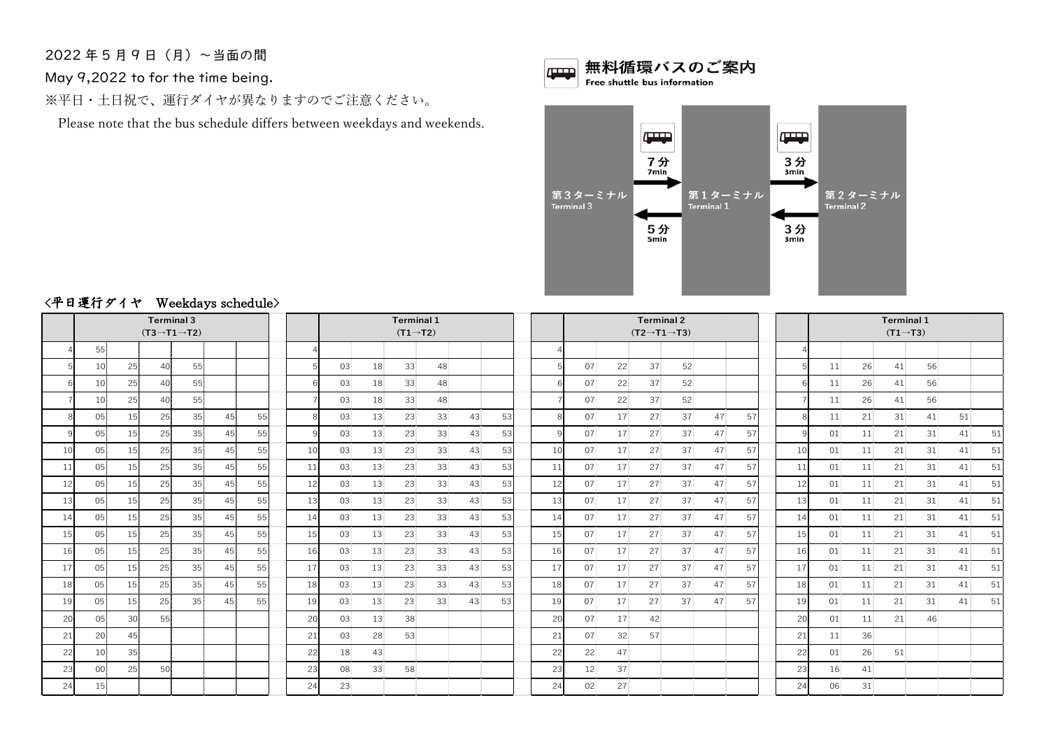年 5 月 9 日(月)~当面の間

May 9,2022 to for the time being.

※平日・土日祝で、運行ダイヤが異なりますのでご注意ください。

Please note that the bus schedule differs between weekdays and weekends.





## <平日運行ダイヤ Weekdays schedule>

|    |                 |                 | $(T3 \rightarrow T1 \rightarrow T2)$ | <b>Terminal 3</b> | $\ldots$ concept series and |    |    |    |    | <b>Terminal 1</b><br>$(T1 \rightarrow T2)$ |    |    |    |    |    |    | <b>Terminal 2</b><br>$(T2 \rightarrow T1 \rightarrow T3)$ |    |    |    | <b>Terminal 1</b><br>$(T1 \rightarrow T3)$ |    |    |    |    |    |    |  |  |  |
|----|-----------------|-----------------|--------------------------------------|-------------------|-----------------------------|----|----|----|----|--------------------------------------------|----|----|----|----|----|----|-----------------------------------------------------------|----|----|----|--------------------------------------------|----|----|----|----|----|----|--|--|--|
|    | 55              |                 |                                      |                   |                             |    |    |    |    |                                            |    |    |    |    |    |    |                                                           |    |    |    |                                            |    |    |    |    |    |    |  |  |  |
|    | 10              | 25              | 40                                   | 55                |                             |    |    | 03 | 18 | 33                                         | 48 |    |    |    | 07 | 22 | 37                                                        | 52 |    |    |                                            | 11 | 26 | 41 | 56 |    |    |  |  |  |
| 6  | 10              | 25              | 40                                   | 55                |                             |    |    | 03 | 18 | 33                                         | 48 |    |    |    | 07 | 22 | 37                                                        | 52 |    |    |                                            | 11 | 26 | 41 | 56 |    |    |  |  |  |
|    | 10              | 25              | 40                                   | 55                |                             |    |    | 03 | 18 | 33                                         | 48 |    |    |    | 07 | 22 | 37                                                        | 52 |    |    |                                            | 11 | 26 | 41 | 56 |    |    |  |  |  |
| 8  | 05              | 15 <sup>1</sup> | 25                                   | 35                | 45                          | 55 | 8  | 03 | 13 | 23                                         | 33 | 43 | 53 |    | 07 | 17 | 27                                                        | 37 | 47 | 57 | 8                                          | 11 | 21 | 31 | 41 | 51 |    |  |  |  |
| C  | 05              | 15              | 25                                   | 35                | 45                          | 55 |    | 03 | 13 | 23                                         | 33 | 43 | 53 |    | 07 | 17 | 27                                                        | 37 | 47 | 57 | q                                          | 01 | 11 | 21 | 31 | 41 | 51 |  |  |  |
| 10 | 05              | 15              | 25                                   | 35                | 45                          | 55 | 10 | 03 | 13 | 23                                         | 33 | 43 | 53 | 10 | 07 | 17 | 27                                                        | 37 | 47 | 57 | 10                                         | 01 | 11 | 21 | 31 | 41 | 51 |  |  |  |
| 11 | 05              | 15              | 25                                   | 35                | 45                          | 55 | 11 | 03 | 13 | 23                                         | 33 | 43 | 53 | 11 | 07 | 17 | 27                                                        | 37 | 47 | 57 | 11                                         | 01 | 11 | 21 | 31 | 41 | 51 |  |  |  |
| 12 | 05              | 15 <sup>1</sup> | 25                                   | 35                | 45                          | 55 | 12 | 03 | 13 | 23                                         | 33 | 43 | 53 | 12 | 07 | 17 | 27                                                        | 37 | 47 | 57 | 12                                         | 01 | 11 | 21 | 31 | 41 | 51 |  |  |  |
| 13 | 05              | 15              | 25                                   | 35                | 45                          | 55 | 13 | 03 | 13 | 23                                         | 33 | 43 | 53 | 13 | 07 | 17 | 27                                                        | 37 | 47 | 57 | 13                                         | 01 | 11 | 21 | 31 | 41 | 51 |  |  |  |
| 14 | 05              | 15              | 25                                   | 35                | 45                          | 55 | 14 | 03 | 13 | 23                                         | 33 | 43 | 53 | 14 | 07 | 17 | 27                                                        | 37 | 47 | 57 | 14                                         | 01 | 11 | 21 | 31 | 41 | 51 |  |  |  |
| 15 | 05              | 15              | 25                                   | 35                | 45                          | 55 | 15 | 03 | 13 | 23                                         | 33 | 43 | 53 | 15 | 07 | 17 | 27                                                        | 37 | 47 | 57 | 15                                         | 01 | 11 | 21 | 31 | 41 | 51 |  |  |  |
| 16 | 05              | 15              | 25                                   | 35                | 45                          | 55 | 16 | 03 | 13 | 23                                         | 33 | 43 | 53 | 16 | 07 | 17 | 27                                                        | 37 | 47 | 57 | 16                                         | 01 | 11 | 21 | 31 | 41 | 51 |  |  |  |
| 17 | 05              | 15              | 25                                   | 35                | 45                          | 55 | 17 | 03 | 13 | 23                                         | 33 | 43 | 53 | 17 | 07 | 17 | 27                                                        | 37 | 47 | 57 | 17                                         | 01 | 11 | 21 | 31 | 41 | 51 |  |  |  |
| 18 | 05              | 15              | 25                                   | 35                | 45                          | 55 | 18 | 03 | 13 | 23                                         | 33 | 43 | 53 | 18 | 07 | 17 | 27                                                        | 37 | 47 | 57 | 18                                         | 01 | 11 | 21 | 31 | 41 | 51 |  |  |  |
| 19 | 05              | 15 <sup>1</sup> | 25                                   | 35                | 45                          | 55 | 19 | 03 | 13 | 23                                         | 33 | 43 | 53 | 19 | 07 | 17 | 27                                                        | 37 | 47 | 57 | 19                                         | 01 | 11 | 21 | 31 | 41 | 51 |  |  |  |
| 20 | 05              | 30 <sup>1</sup> | 55                                   |                   |                             |    | 20 | 03 | 13 | 38                                         |    |    |    | 20 | 07 | 17 | 42                                                        |    |    |    | 20                                         | 01 | 11 | 21 | 46 |    |    |  |  |  |
| 21 | 20              | 45              |                                      |                   |                             |    | 21 | 03 | 28 | 53                                         |    |    |    | 21 | 07 | 32 | 57                                                        |    |    |    | 21                                         | 11 | 36 |    |    |    |    |  |  |  |
| 22 | 10 <sup>1</sup> | 35              |                                      |                   |                             |    | 22 | 18 | 43 |                                            |    |    |    | 22 | 22 | 47 |                                                           |    |    |    | 22                                         | 01 | 26 | 51 |    |    |    |  |  |  |
| 23 | 00              | 25              | 50                                   |                   |                             |    | 23 | 08 | 33 | 58                                         |    |    |    | 23 | 12 | 37 |                                                           |    |    |    | 23                                         | 16 | 41 |    |    |    |    |  |  |  |
| 24 | 15              |                 |                                      |                   |                             |    | 24 | 23 |    |                                            |    |    |    | 24 | 02 | 27 |                                                           |    |    |    | 24                                         | 06 | 31 |    |    |    |    |  |  |  |